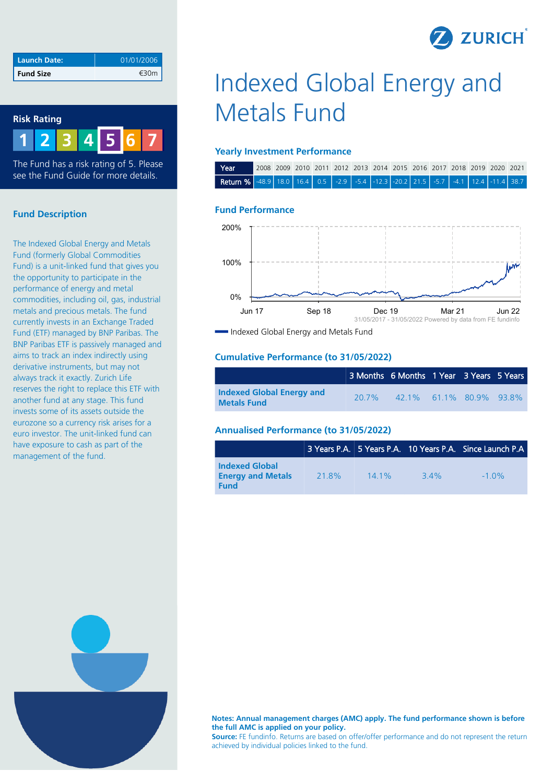

| Launch Date:     | 01/01/2006 |
|------------------|------------|
| <b>Fund Size</b> | €30m       |

### **Risk Rating**



The Fund has a risk rating of 5. Please see the Fund Guide for more details.

## **Fund Description**

The Indexed Global Energy and Metals Fund (formerly Global Commodities Fund) is a unit-linked fund that gives you the opportunity to participate in the performance of energy and metal commodities, including oil, gas, industrial metals and precious metals. The fund currently invests in an Exchange Traded Fund (ETF) managed by BNP Paribas. The BNP Paribas ETF is passively managed and aims to track an index indirectly using derivative instruments, but may not always track it exactly. Zurich Life reserves the right to replace this ETF with another fund at any stage. This fund invests some of its assets outside the eurozone so a currency risk arises for a euro investor. The unit-linked fund can have exposure to cash as part of the management of the fund.

# Indexed Global Energy and Metals Fund

### **Yearly Investment Performance**

| Year                                                                                                                                                                                                                                     |  |  |  | 2008 2009 2010 2011 2012 2013 2014 2015 2016 2017 2018 2019 2020 2021 |  |  |  |  |
|------------------------------------------------------------------------------------------------------------------------------------------------------------------------------------------------------------------------------------------|--|--|--|-----------------------------------------------------------------------|--|--|--|--|
| <b>Return %</b> $\begin{vmatrix} -48.9 & 18.0 & 16.4 & 0.5 \\ 0.5 & 0.5 & 0.5 & -5.4 \\ 0.6 & 0.6 & 0.7 & 0.7 \end{vmatrix}$ -12.3 $\begin{vmatrix} -20.2 & 21.5 & -5.7 & -4.1 & 12.4 \\ -5.7 & 0.4 & 1 & 12.4 \end{vmatrix}$ -11.4 38.7 |  |  |  |                                                                       |  |  |  |  |

### **Fund Performance**



Indexed Global Energy and Metals Fund

### **Cumulative Performance (to 31/05/2022)**

|                                                        |       | 3 Months   6 Months   1 Year   3 Years   5 Years |  |  |
|--------------------------------------------------------|-------|--------------------------------------------------|--|--|
| <b>Indexed Global Energy and</b><br><b>Metals Fund</b> | 20.7% | 42.1% 61.1% 80.9% 93.8%                          |  |  |

### **Annualised Performance (to 31/05/2022)**

|                                                                  |       |         |     | 3 Years P.A. 5 Years P.A. 10 Years P.A. Since Launch P.A. |
|------------------------------------------------------------------|-------|---------|-----|-----------------------------------------------------------|
| <b>Indexed Global</b><br><b>Energy and Metals</b><br><b>Fund</b> | 21.8% | $141\%$ | 34% | $-1.0\%$                                                  |



**Notes: Annual management charges (AMC) apply. The fund performance shown is before the full AMC is applied on your policy.**

**Source:** FE fundinfo. Returns are based on offer/offer performance and do not represent the return achieved by individual policies linked to the fund.